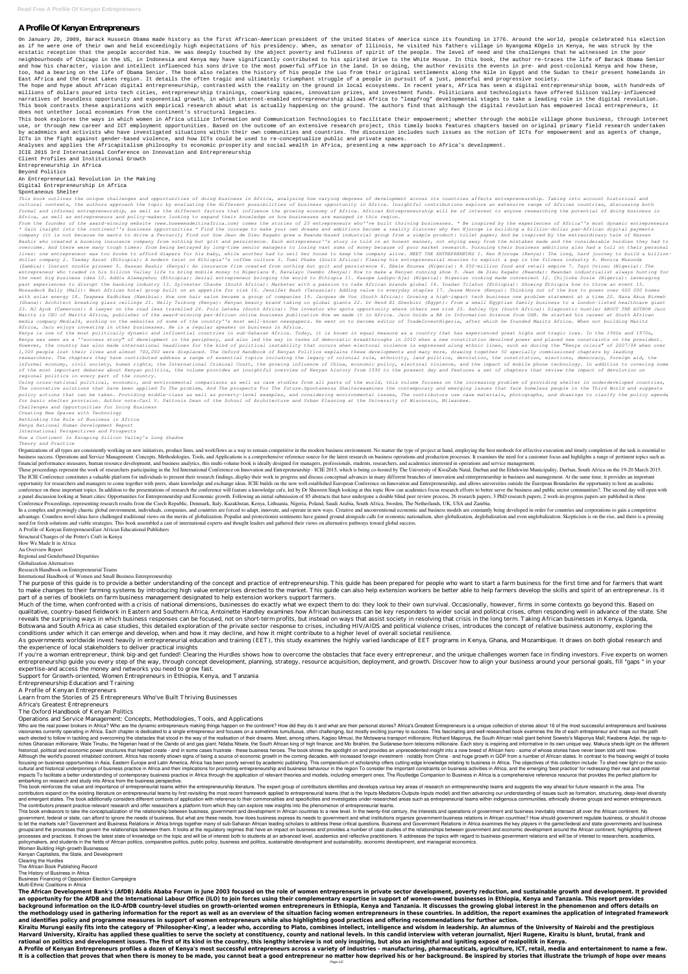## **A Profile Of Kenyan Entrepreneurs**

On January 20, 2009, Barack Hussein Obama made history as the first African-American president of the United States of America since its founding in 1776. Around the world, people celebrated his election as if he were one of their own and held exceedingly high expectations of his presidency. When, as senator of Illinois, he visited his fathers village in Nyangoma KOgelo in Kenya, he was struck by the ecstatic reception that the people accorded him. He was deeply touched by the abject poverty and fullness of spirit of the people. The level of need and the challenges that he witnessed in the poor neighbourhoods of Chicago in the US, in Indonesia and Kenya may have significantly contributed to his spirited drive to the White House. In this book, the author re-traces the life of Barack Obama Senior and how his character, vision and intellect influenced his sons drive to the most powerful office in the land. In so doing, the author revisits the events in pre- and post-colonial Kenya and how these, too, had a bearing on the life of Obama Senior. The book also relates the history of his people the Luo from their original settlements along the Nile in Egypt and the Sudan to their present homelands in East Africa and the Great Lakes region. It details the often tragic and ultimately triumphant struggle of a people in pursuit of a just, peaceful and progressive society.

The hope and hype about African digital entrepreneurship, contrasted with the reality on the ground in local ecosystems. In recent years, Africa has seen a digital entrepreneurship boom, with hundreds of millions of dollars poured into tech cities, entrepreneurship trainings, coworking spaces, innovation prizes, and investment funds. Politicians and technologists have offered Silicon Valley-influenced narratives of boundless opportunity and exponential growth, in which internet-enabled entrepreneurship allows Africa to "leapfrog" developmental stages to take a leading role in the digital revolution. This book contrasts these aspirations with empirical research about what is actually happening on the ground. The authors find that although the digital revolution has empowered local entrepreneurs, it does not untether local economies from the continent's structural legacies.

This book explores the ways in which women in Africa utilize Information and Communication Technologies to facilitate their empowerment; whether through the mobile village phone business, through internet use, or through new career and ICT employment opportunities. Based on the outcome of an extensive research project, this timely books features chapters based on original primary field research undertaken by academics and activists who have investigated situations within their own communities and countries. The discussion includes such issues as the notion of ICTs for empowerment and as agents of change, ICTs in the fight against gender-based violence, and how ICTs could be used to re-conceptualize public and private spaces.

Analyses and applies the Africapitalism philosophy to economic prosperity and social wealth in Africa, presenting a new approach to Africa's development.

ICIE 2015 3rd International Conference on Innovation and Entrepreneurship

Client Profiles and Institutional Growth Entrepreneurship in Africa Beyond Politics

An Entrepreneurial Revolution in the Making

Digital Entrepreneurship in Africa

## Spontaneous Shelter

*This book outlines the unique challenges and opportunities of doing business in Africa, analysing how varying degrees of development across its countries affects entrepreneurship. Taking into account historical and cultural contexts, the authors approach the topic by evaluating the different possibilities of business opportunity in Africa. Insightful contributions explore an extensive range of African countries, discussing both* formal and informal entrepreneurship, as well as the different factors that influence the growing economy of Africa, Africa, African Entrepreneurship will be of interest to anyone researching the potential of doing busines *Africa, as well as entrepreneurs and policy-makers looking to expand their knowledge on how businesses are managed in this region.*

From the founder of the award-winning website (www.howwemadeitinafrica.com) comes the stories of 25 entrepreneurs who''ve built thriving businesses. \* Be inspired by the experiences of Africa''s most dynamic entrepreneurs *\* Gain insight into the continent''s business opportunities \* Find the courage to make your own dreams and ambitions become a reality Discover why Ken Njoroge is building a billion-dollar pan-African digital payments company (it is not because he wants to drive a Ferrari); Find out how Jean de Dieu Kagabo grew a Rwanda-based industrial group from a simple product: toilet paper; And be inspired by the extraordinary tale of Hassan* Bashir who created a booming insurance company from nothing but grit and persistence. Each entrepreneur''s story is told in an honest manner, not shying away from the mistakes made and the considerable hurdles they had to overcome. And there were many tough times: from being betraved by long-time senior managers to losing vast sums of money because of poor market research. Pursuing their business ambitions also had a toll on their personal lives: one entrepreneur was too broke to afford diapers for his baby, while another had to sell her house to keep the company alive. MEET THE ENTREPRENEURS 1. Ken Njoroge (Kenya): The long, hard journey to build a billion*dollar company 2. Tseday Asrat (Ethiopia): A modern twist on Ethiopia''s coffee culture 3. Tumi Phake (South Africa): Flexing his entrepreneurial muscles to exploit a gap in the fitness industry 4. Monica Musonda (Zambia): Instant noodle pioneer 5. Hassan Bashir (Kenya): An insurance firm created from nothing but grit and persistence 6. Ebele Enunwa (Nigeria): A \$50-million food and retail empire 7. Tayo Oviosu (Nigeria): The* entrepreneur who traded in his Silicon Valley life to bring mobile money to Nigerians 8. Navalayo Osembo (Kenya): How to make a Kenyan running shoe 9. Jean de Dieu Kagabo (Rwanda): Rwandan industrialist always hunting for the next big business idea 10. Addis Alemayehou (Ethiopia): Serial entrepreneur bringing the world to Ethiopia 11. Kasope Ladipo-Ajai (Nigeria): Nigerian cooking made convenient 12. Chijioke Dozie (Nigeria): Leveraging *past experiences to disrupt the banking industry 13. Sylvester Chauke (South Africa): Marketer with a passion to take African brands global 14. Yoadan Tilahun (Ethiopia): Showing Ethiopia how to throw an event 15.* Mossadeck Bally (Mali): West African hotel group built on an appetite for risk 16. Jennifer Bash (Tanzania): Adding value to everyday staples 17. Jesse Moore (Kenya): Thinking out of the box to power over 600 000 homes with solar energy 18. Twapewa Kadhikwa (Namibia): How one hair salon became a group of companies 19. Jacques de Vos (South Africa): Growing a high-impact tech business one problem statement at a time 20. Nana Akua Birmeh (Ghana): Architect breaking glass ceilings 21. Nelly Tuikong (Kenva): Kenvan beauty brand taking on global giants 22. Dr Hend El Sherbini (Egypt): From a small Egyptian family business to a London-listed healthcare giant 23. NJ Ayuk (Cameroon): A lawyer on the road less travelled 24. Polo Leteka (South Africa): The investor who spots opportunity where others see risk 25. Ashley Uys (South Africa): Diagnostic hustler ABOUT THE AUTHOR Jaco *Maritz is CEO of Maritz Africa, publisher of the award-winning pan-African online business publication How we made it in Africa. Jaco holds a BA in Information Science from USB. He started his career at South African media company Media24, working on the websites of some of the country''s most well-known newspapers. He went on to become editor of TradeInvestNigeria, after which he founded Maritz Africa. When not building Maritz Africa, Jaco enjoys investing in other businesses. He is a regular speaker on business in Africa.*

*Kenya is one of the most politically dynamic and influential countries in sub-Saharan Africa. Today, it is known in equal measure as a country that has experienced great highs and tragic lows. In the 1960s and 1970s,* Kenya was seen as a ''success story" of development in the periphery, and also led the way in terms of democratic breakthroughs in 2010 when a new constitution devolved power and placed new constraints on the president. However, the country has also made international headlines for the kind of political instability that occurs when electoral violence is expressed along ethnic lines, such as during the "Kenya crisis" of 2007/08 when over *1,000 people lost their lives and almost 700,000 were displaced. The Oxford Handbook of Kenyan Politics explains these developments and many more, drawing together 50 specially commissioned chapters by leading researchers. The chapters they have contributed address a range of essential topics including the legacy of colonial rule, ethnicity, land politics, devolution, the constitution, elections, democracy, foreign aid, the* informal economy, civil society, human rights, the International Criminal Court, the growing influence of China, economic policy, electoral violence, and the impact of mobile phone technology. In addition to covering some

Using cross-national political, economic, and environmental comparisons as well as case studies from all parts of the world, this volume focuses on the increasing problem of providing shelter in underdeveloped countries, The innovative solutions that have been applied To The problem, And The prospects For The future. Spontaneous Shelterexamines the contemporary and emerging issues that face homeless people in the Third World and suggests policy actions that can be taken. Providing middle-class as well as poverty-level examples, and considering environmental issues, The contributors use case materials, photographs, and drawings to clarify the policy agenda *for basic shelter provision. Author note:Carl V. Pattonis Dean of the School of Architecture and Urban Planning at the University of Wisconsin, Milwaukee.*

These proceedings represent the work of researchers participating in the 3rd International Conference on Innovation and Entrepreneurship - ICIE 2015, which is being co-hosted by The University of KwaZulu Natal, Durban and The ICIE Conference constitutes a valuable platform for individuals to present their research findings, display their work in progress and discuss conceptual advances in many different branches of innovation and entreprene opportunity for researchers and managers to come together with peers, share knowledge and exchange ideas. ICIE builds on the now well established European Conference on Innovation and Entrepreneurship, and allows universit conference on these important topics. In addition to the presentations of research the conference will feature a knowledge cafe, led by Dr Shawren Singh looking at this topic How can academics focus research efforts to bet a panel discussion looking at Smart cities: Opportunities for Entrepreneurship and Economic growth. Following an initial submission of 85 abstracts that have undergone a double blind peer review process, 26 research papers Conference Proceedings, representing research results from the Czech Republic, Denmark, Italy, Kazakhstan, Kenya, Lithuania, Nigeria, Poland, Saudi Arabia, South Africa, Sweden, The Netherlands, UK, USA and Zambia.

In a complex and growingly chaotic global environment, individuals, companies, and countries are forced to adapt, innovate, and operate in new ways. Creative and unconventional economic and business models are constantly b advantage. Countless novel ideas have challenged traditional views on the merits of globalization. Populist and protectionist sentiments have gained ground alongside calls for economic nationalism, alter-globalization, deg need for fresh solutions and viable strategies. This book assembled a cast of international experts and thought leaders and gathered their views on alternative pathways toward global success.

The purpose of this guide is to provide a better understanding of the concept and practice of entrepreneurship. This guide has been prepared for people who want to start a farm business for the first time and for farmers t to make changes to their farming systems by introducing high value enterprises directed to the market. This guide can also help extension workers be better able to help farmers develop the skills and spirit of an entrepren part of a series of booklets on farm business management designated to help extension workers support farmers.

If you're a woman entrepreneur, think big-and get funded! Clearing the Hurdles shows how to overcome the obstacles that face every entrepreneur, and the unique challenges women face in finding investors. Five experts on wo entrepreneurship guide you every step of the way, through concept development, planning, strategy, resource acquisition, deployment, and growth. Discover how to align your business around your personal goals, fill "gaps " expertise-and access the money and networks you need to grow fast.

*of the most important debates about Kenyan politics, the volume provides an insightful overview of Kenyan history from 1930 to the present day and features a set of chapters that review the impact of devolution on regional politics in every part of the country.*

*Challenges and Opportunities for Doing Business Creating New Spaces with Technology Rethinking the Role of Business in Africa Kenya National Human Development Report International Perspectives and Prospects How a Continent Is Escaping Silicon Valley's Long Shadow Theory and Practice*

Organizations of all types are consistently working on new initiatives, product lines, and workflows as a way to remain competitive in the modern business environment. No matter the type of project at hand, employing the b business success. Operations and Service Management: Concepts, Methodologies, Tools, and Applications is a comprehensive reference source for the latest research on business operations and production processes. It examines financial performance measures, human resource development, and business analytics, this multi-volume book is ideally designed for managers, professionals, students, researchers, and academics interested in operations and

Who are the real power brokers in Africa? Who are the dynamic entrepreneurs making things happen on the continent? How did they do it and what are their personal stories? Africa's Greatest Entrepreneurs is a unique collect visionaries currently operating in Africa. Each chapter is dedicated to a single entrepreneur and focuses on a sometimes tumultuous, often challenging, but mostly exciting journey to success. This fascinating and well-rese each elected to follow in tackling and overcoming the obstacles that stood in the way of the realisation of their dreams. Meet, among others, Kagiso Mmusi, the Motswana transport millionaire; Richard Maponya, the South Afr riches Ghanaian millionaire; Wale Tinubu, the Nigerian head of the Oando oil and gas giant; Ndaba Ntsele, the South African king of high finance; and Mo Ibrahim, the Sudanese-born telecoms millionaire. Each story is inspir historical, political and economic power structures that helped create - and in some cases frustrate - these business heroes. The book shines the spotlight on and provides an unprecedented insight into a new breed of Afric Although the world's poorest inhabited continent, Africa has recently shown signs of being a source of economic growth in the coming decades, with increased foreign investment - notably from China - and huge growth in GDP focusing on business opportunities in Asia, Eastern Europe and Latin America, Africa has been poorly served by academic publishing. This compendium of scholarship offers cutting-edge knowledge relating to business in Afric cultural and historical underpinnings of business practice in Africa and their implications for promoting entrepreneurship and business behaviour in the region To consider the important constraints on business activities i impacts To facilitate a better understanding of contemporary business practice in Africa through the application of relevant theories and models, including emergent ones. The Routledge Companion to Business in Africa is a embarking on research and study into Africa from the business perspective. This book reinforces the value and importance of entrepreneurial teams within the entrepreneurship literature. The expert group of contributors identifies and develops various key areas of research on entrepreneurship team contributors expand on the existing literature on entrepreneurial teams by first revisiting the most recent framework applied to entrepreneurial teams (that is the Inputs-Mediators-Outputs-Inputs model) and then advancing and emergent states. The book additionally considers different contexts of application with reference to their commonalities and specificities and investigates under-researched areas such as entrepreneurial teams within in The contributors present practice-relevant research and offer researchers a platform from which they can explore new insights into the phenomenon of entrepreneurial teams. This book endeavors to take the conceptualization of the relationship between business, government and development in African countries to a new level. In the twenty-first century, the interests and operations of governmen government, federal or state, can afford to ignore the needs of business. But what are these needs, how does business express its needs to government and what institutions organize government-business relations in African to let the markets rule? Government and Business Relations in Africa brings together many of sub-Saharan African leading scholars to address these critical questions. Business and Government Relations in Africa examines th groupsland the processes that govern the relationships between them. It looks at the regulatory regimes that have an impact on business and provides a number of case studies of the relationships between government and econ processes and practices. It shows the latest state of knowledge on the topic and will be of interest both to students at an advanced level, academics and reflective practitioners. It addresses the topics with regard to bus policymakers, and students in the fields of African politics, comparative politics, public policy, business and politics, sustainable development and sustainability, economic development, and managerial economics. Women Building High-growth Businesses

Kiraitu Murungi easily fits into the category of 'Philosopher-King', a leader who, according to Plato, combines intellect, intelligence and wisdom in leadership. An alumnus of the University of Nairobi and the prestigious Harvard University, Kiraitu has applied these qualities to serve the society at constituency, county and national levels. In this candid interview with veteran journalist, Njeri Rugene, Kiraitu is blunt, brutal, frank and **rational on politics and development issues. The first of its kind in the country, this lengthy interview is not only inspiring, but also an insightful and igniting exposé of realpolitik in Kenya.**

A Profile of Kenyan Entrepreneurs profiles a dozen of Kenya's most successful entrepreneurs across a variety of industries - manufacturing, pharmaceuticals, agriculture, ICT, retail, media and entertainment to name a few. It is a collection that proves that when there is money to be made, you cannot beat a good entrepreneur no matter how deprived his or her background. Be inspired by stories that illustrate the triumph of hope over means

A Profile of Kenyan EntrepreneursEast African Educational Publishers

Structural Changes of the Potter's Craft in Kenya

How We Made It in Africa

An Overview Report Regional and Genderbased Disparities

Globalization Alternatives

Research Handbook on Entrepreneurial Teams

International Handbook of Women and Small Business Entrepreneurship

Much of the time, when confronted with a crisis of national dimensions, businesses do exactly what we expect them to do: they look to their own survival. Occasionally, however, firms in some contexts go beyond this. Based on qualitative, country-based fieldwork in Eastern and Southern Africa, Antoinette Handley examines how African businesses can be key responders to wider social and political crises, often responding well in advance of the st reveals the surprising ways in which business responses can be focused, not on short-term profits, but instead on ways that assist society in resolving that crisis in the long term. Taking African businesses in Kenya, Ugan Botswana and South Africa as case studies, this detailed exploration of the private sector response to crises, including HIV/AIDS and political violence crises, introduces the concept of relative business autonomy, explori conditions under which it can emerge and develop, when and how it may decline, and how it might contribute to a higher level of overall societal resilience.

As governments worldwide invest heavily in entrepreneurial education and training (EET), this study examines the highly varied landscape of EET programs in Kenya, Ghana, and Mozambique. It draws on both global research and the experience of local stakeholders to deliver practical insights

Support for Growth-oriented, Women Entrepreneurs in Ethiopia, Kenya, and Tanzania

Entrepreneurship Education and Training

A Profile of Kenyan Entrepreneurs

Learn from the Stories of 25 Entrepreneurs Who've Built Thriving Businesses

Africa's Greatest Entrepreneurs

The Oxford Handbook of Kenyan Politics

Operations and Service Management: Concepts, Methodologies, Tools, and Applications

Kenyan Capitalists, the State, and Development

Clearing the Hurdles

The African Book Publishing Record

The History of Business in Africa

Business Financing of Opposition Election Campaigns

## Multi-Ethnic Coalitions in Africa

**The African Development Bank's (AfDB) Addis Ababa Forum in June 2003 focused on the role of women entrepreneurs in private sector development, poverty reduction, and sustainable growth and development. It provided an opportunity for the AfDB and the International Labour Office (ILO) to join forces using their complementary expertise in support of women-owned businesses in Ethiopia, Kenya and Tanzania. This report provides background information on the ILO-AfDB country-level studies on growth-oriented women entrepreneurs in Ethiopia, Kenya and Tanzania. It discusses the growing global interest in the phenomenon and offers details on** the methodology used in gathering information for the report as well as an overview of the situation facing women entrepreneurs in these countries. In addition, the report examines the application of integrated framework **and identifies policy and programme measures in support of women entrepreneurs while also highlighting good practices and offering recommendations for further action.**